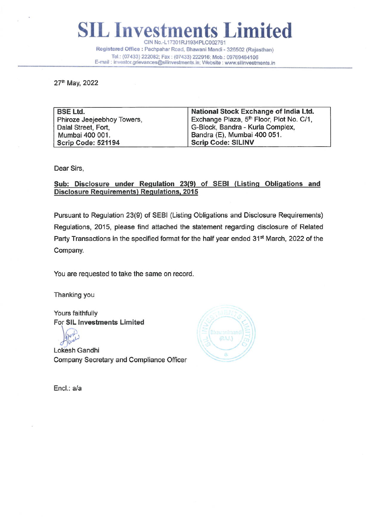L Investments Limited CIN No.-L17301RJ1934PLC002761 Registered Office : Pachpahar Road, Bhawani Mandi - 326502 (Rajasthan) Tel.: (07433) 222082; Fax : (07433) 222916; Mob.: 09769484106 E-mail : investor.grievances©silinvestments.in; Website : www.silinvestments.in

27th May, 2022

| <b>BSE Ltd.</b>            | National Stock Exchange of India Ltd.                |
|----------------------------|------------------------------------------------------|
| Phiroze Jeejeebhoy Towers, | Exchange Plaza, 5 <sup>th</sup> Floor, Plot No. C/1, |
| Dalal Street, Fort,        | G-Block, Bandra - Kurla Complex,                     |
| Mumbai 400 001.            | Bandra (E), Mumbai 400 051.                          |
| Scrip Code: 521194         | <b>Scrip Code: SILINV</b>                            |

Dear Sirs,

Sub: Disclosure under Regulation 23(9) of SEBI (Listing Obligations and Disclosure Requirements) Regulations, 2015

Pursuant to Regulation 23(9) of SEBI (Listing Obligations and Disclosure Requirements) Regulations, 2015, please find attached the statement regarding disclosure of Related Party Transactions in the specified format for the half year ended 31<sup>st</sup> March, 2022 of the Company.

You are requested to take the same on record.

Thanking you

Yours faithfully For SIL Investments Limited

Lokesh Gandhi Company Secretary and Compliance Officer



Encl.: a/a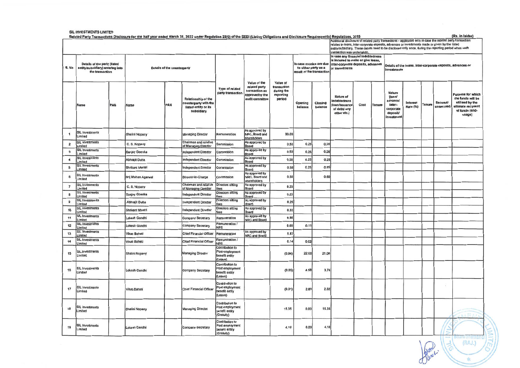|                                                                                                                                                                                     | SIL INVESTMENTS LIMITED                                                             |     |                                    |     |                                                                                           |                                                                    |                                                                                      |                                                                                                                                                                                                                                                                                                                                                         |                                                                             |                    |                                                                                                                                  |      |                                                                            |                                                                                      |                      |          |                       | (Rs. in lakhs)                                                                                                     |
|-------------------------------------------------------------------------------------------------------------------------------------------------------------------------------------|-------------------------------------------------------------------------------------|-----|------------------------------------|-----|-------------------------------------------------------------------------------------------|--------------------------------------------------------------------|--------------------------------------------------------------------------------------|---------------------------------------------------------------------------------------------------------------------------------------------------------------------------------------------------------------------------------------------------------------------------------------------------------------------------------------------------------|-----------------------------------------------------------------------------|--------------------|----------------------------------------------------------------------------------------------------------------------------------|------|----------------------------------------------------------------------------|--------------------------------------------------------------------------------------|----------------------|----------|-----------------------|--------------------------------------------------------------------------------------------------------------------|
| Related Party Transactions Disclosure for the half year ended March 31, 2022 under Regulation 23(9) of the SEBI (Listing Obligations and Disclosure Requirements) Regulations, 2015 |                                                                                     |     |                                    |     |                                                                                           |                                                                    |                                                                                      | Additional disclosure of related party transactions - applicable only in case the related party transaction<br>relates to loans, inter-corporate deposits, advances or investments made or given by the listed<br>entity/subsidiary. These details need to be disclosed only once, during the reporting period when such<br>transaction was undertaken. |                                                                             |                    |                                                                                                                                  |      |                                                                            |                                                                                      |                      |          |                       |                                                                                                                    |
| S. No                                                                                                                                                                               | Details of the party (listed<br>entity/subsidiary) entering into<br>the transaction |     | <b>Details of the counterparty</b> |     |                                                                                           |                                                                    |                                                                                      |                                                                                                                                                                                                                                                                                                                                                         | In case monies are due<br>to either party as a<br>result of the transaction |                    | In case any financial indebtedness<br>is incurred to make or give loans,<br>inter-corporate deposits, advances<br>or investments |      | Details of the loans, inter-corporate deposits, advances or<br>investments |                                                                                      |                      |          |                       |                                                                                                                    |
|                                                                                                                                                                                     | <b>Name</b>                                                                         | PAN | Name                               | PAN | <b>Relationship of the</b><br>counterparty with the<br>listed entity or its<br>subsidiary | Type of related<br>party transaction                               | Value of the<br>related party<br>transaction as<br>approvedby the<br>audit committee | Value of<br>transaction<br>during the<br>reporting<br>period                                                                                                                                                                                                                                                                                            | Opening<br>balance                                                          | Closing<br>balance | Nature of<br>indebtedness<br>loan/issuance<br>of debt/ any<br>other etc.)                                                        | Cost | Tenure                                                                     | <b>Nature</b><br>(loan/<br>advance/<br>inter-<br>corporate<br>deposit/<br>investment | Interest<br>Rate (%) | lenure   | Secured/<br>unsecured | <b>Purpose for which</b><br>the funds will be<br>utilised by the<br>ultimate recipient<br>of funds (end-<br>usage) |
|                                                                                                                                                                                     | <b>SIL Investments</b><br>Limited                                                   |     | Shalini Nopany                     |     | <b>Managing Director</b>                                                                  | Remuneration                                                       | As approved by<br>NRC, Board and<br>shareholders                                     | 33.00                                                                                                                                                                                                                                                                                                                                                   |                                                                             |                    |                                                                                                                                  |      |                                                                            |                                                                                      |                      |          |                       |                                                                                                                    |
| $\overline{\mathbf{2}}$                                                                                                                                                             | SIL Investments<br>.imited                                                          |     | C. S. Nopany                       |     | Chairman and relative<br>of Managing Director                                             | Commission                                                         | As approved by<br>Board                                                              | 0.50                                                                                                                                                                                                                                                                                                                                                    | 0.25                                                                        | 0.25               |                                                                                                                                  |      |                                                                            |                                                                                      |                      |          |                       |                                                                                                                    |
| 3                                                                                                                                                                                   | <b>SIL Investments</b><br>.imited                                                   |     | Sanjay Goenka                      |     | <b>Independent Director</b>                                                               | Commission                                                         | As approved by<br>Board                                                              | 0.50                                                                                                                                                                                                                                                                                                                                                    | 0.25                                                                        | 0.25               |                                                                                                                                  |      |                                                                            |                                                                                      |                      |          |                       |                                                                                                                    |
| $\overline{\bf 4}$                                                                                                                                                                  | <b>SIL Investments</b><br>imited                                                    |     | Abhrajit Dutta                     |     | <b>Independent Director</b>                                                               | Commission                                                         | As approved by<br>Board                                                              | 0.50                                                                                                                                                                                                                                                                                                                                                    | 0.25                                                                        | 0.25               |                                                                                                                                  |      |                                                                            |                                                                                      |                      |          |                       |                                                                                                                    |
| $\mathbf 5$                                                                                                                                                                         | <b>SIL Investments</b><br>imited                                                    |     | Shrikant Mantri                    |     | <b>Independent Director</b>                                                               | Commission                                                         | As approved by<br>Board                                                              | 0.50                                                                                                                                                                                                                                                                                                                                                    | 0.25                                                                        | 0.25               |                                                                                                                                  |      |                                                                            |                                                                                      |                      |          |                       |                                                                                                                    |
| 6                                                                                                                                                                                   | SIL Investments<br>Limited                                                          |     | Brij Mohan Agarwal                 |     | Director-in-Charge                                                                        | Commission                                                         | As approved by<br>NRC, Board and<br>shareholders                                     | 0.50                                                                                                                                                                                                                                                                                                                                                    |                                                                             | 0.50               |                                                                                                                                  |      |                                                                            |                                                                                      |                      |          |                       |                                                                                                                    |
| $\overline{7}$                                                                                                                                                                      | <b>SIL Investments</b><br>Limited                                                   |     | C. S. Nopany                       |     | Chairman and relative<br>of Managing Director                                             | <b>Directors sitting</b><br>fees                                   | As approved by<br>Board                                                              | 0.23                                                                                                                                                                                                                                                                                                                                                    |                                                                             |                    |                                                                                                                                  |      |                                                                            |                                                                                      |                      |          |                       |                                                                                                                    |
| 8                                                                                                                                                                                   | <b>SIL Investments</b><br><b>imited</b>                                             |     | <b>Sanjay Goenka</b>               |     | <b>Independent Director</b>                                                               | <b>Directors sitting</b><br>ees                                    | As approved by<br><b>Board</b>                                                       | 0.23                                                                                                                                                                                                                                                                                                                                                    |                                                                             |                    |                                                                                                                                  |      |                                                                            |                                                                                      |                      |          |                       |                                                                                                                    |
| $\mathsf g$                                                                                                                                                                         | <b>SIL Investments</b><br>imited                                                    |     | Abhrajit Dutta                     |     | Independent Director                                                                      | <b>Directors sitting</b><br>fees                                   | As approved by<br>Board                                                              | 0.25                                                                                                                                                                                                                                                                                                                                                    |                                                                             |                    |                                                                                                                                  |      |                                                                            |                                                                                      |                      |          |                       |                                                                                                                    |
| 10                                                                                                                                                                                  | <b>SIL Investments</b><br><i>imited</i>                                             |     | Shrikant Mantri                    |     | <b>Independent Director</b>                                                               | <b>Directors sitting</b><br><b>PAR</b>                             | As approved by<br>Board                                                              | 0.33                                                                                                                                                                                                                                                                                                                                                    |                                                                             |                    |                                                                                                                                  |      |                                                                            |                                                                                      |                      |          |                       |                                                                                                                    |
| 11                                                                                                                                                                                  | <b>SIL Investments</b><br>imited                                                    |     | Lokesh Gandhi                      |     | <b>Company Secretary</b>                                                                  | Remuneration                                                       | As approved by<br><b>NRC and Board</b>                                               | 9.98                                                                                                                                                                                                                                                                                                                                                    |                                                                             |                    |                                                                                                                                  |      |                                                                            |                                                                                      |                      |          |                       |                                                                                                                    |
| 12                                                                                                                                                                                  | SIL Investments<br>imited                                                           |     | Lokesh Gandhi                      |     | <b>Company Secretary</b>                                                                  | Remuneration /<br><b>NPS</b>                                       |                                                                                      | 0.69                                                                                                                                                                                                                                                                                                                                                    | 0.11                                                                        |                    |                                                                                                                                  |      |                                                                            |                                                                                      |                      |          |                       |                                                                                                                    |
| 13                                                                                                                                                                                  | SIL Investments<br>.imited                                                          |     | <b>Vikas Baheti</b>                |     | <b>Chief Financial Officer</b>                                                            | Remuneration                                                       | As approved by<br>NRC and Board                                                      | 5.87                                                                                                                                                                                                                                                                                                                                                    |                                                                             |                    |                                                                                                                                  |      |                                                                            |                                                                                      |                      |          |                       |                                                                                                                    |
| 14                                                                                                                                                                                  | <b>SIL Investments</b>                                                              |     | <b>Vikas Baheti</b>                |     | <b>Chief Financial Officer</b>                                                            | Remuneration /<br><b>NPS</b>                                       |                                                                                      | 0.14                                                                                                                                                                                                                                                                                                                                                    | 0.02                                                                        |                    |                                                                                                                                  |      |                                                                            |                                                                                      |                      |          |                       |                                                                                                                    |
| 15                                                                                                                                                                                  | imited<br><b>SIL Investments</b><br>.imited                                         |     | Shalini Nopany                     |     | <b>Managing Director</b>                                                                  | Contribution to<br>Post employment<br>benefit entity<br>Leave)     |                                                                                      | (0.94)                                                                                                                                                                                                                                                                                                                                                  | 22.00                                                                       | 21.06              |                                                                                                                                  |      |                                                                            |                                                                                      |                      |          |                       |                                                                                                                    |
| 16                                                                                                                                                                                  | <b>SIL Investments</b><br>Limited                                                   |     | Lokesh Gandhi                      |     | Company Secretary                                                                         | Contribution to<br>Post employment<br>benefit entity<br>(Leave)    |                                                                                      | (0.85)                                                                                                                                                                                                                                                                                                                                                  | 4.58                                                                        | 3.74               |                                                                                                                                  |      |                                                                            |                                                                                      |                      |          |                       |                                                                                                                    |
| 17                                                                                                                                                                                  | <b>SIL Investments</b><br>Limited                                                   |     | <b>Vikas Baheti</b>                |     | <b>Chief Financial Officer</b>                                                            | Contribution to<br>ost employment<br>benefit entity<br>(Leave)     |                                                                                      | (0.01)                                                                                                                                                                                                                                                                                                                                                  | 2.83                                                                        | 2.82               |                                                                                                                                  |      |                                                                            |                                                                                      |                      |          |                       |                                                                                                                    |
| 18                                                                                                                                                                                  | <b>SIL Investments</b><br>.imited                                                   |     | Shalini Nopany                     |     | <b>Managing Director</b>                                                                  | Contribution to<br>Post employment<br>benefit entity<br>(Gratuity) |                                                                                      | 15.35                                                                                                                                                                                                                                                                                                                                                   | 0.00                                                                        | 15.35              |                                                                                                                                  |      |                                                                            |                                                                                      |                      |          |                       |                                                                                                                    |
| 19                                                                                                                                                                                  | <b>SIL Investments</b><br>Limited                                                   |     | Lokesh Gandhi                      |     | Company Secretary                                                                         | Contribution to<br>Post employment<br>benefit entity<br>(Gratuity) |                                                                                      | 4.10                                                                                                                                                                                                                                                                                                                                                    | 0.00                                                                        | 4.10               |                                                                                                                                  |      |                                                                            |                                                                                      |                      |          |                       |                                                                                                                    |
|                                                                                                                                                                                     |                                                                                     |     |                                    |     |                                                                                           |                                                                    |                                                                                      |                                                                                                                                                                                                                                                                                                                                                         |                                                                             |                    |                                                                                                                                  |      |                                                                            |                                                                                      |                      | $\omega$ |                       | (RAJ.)                                                                                                             |

Janet -